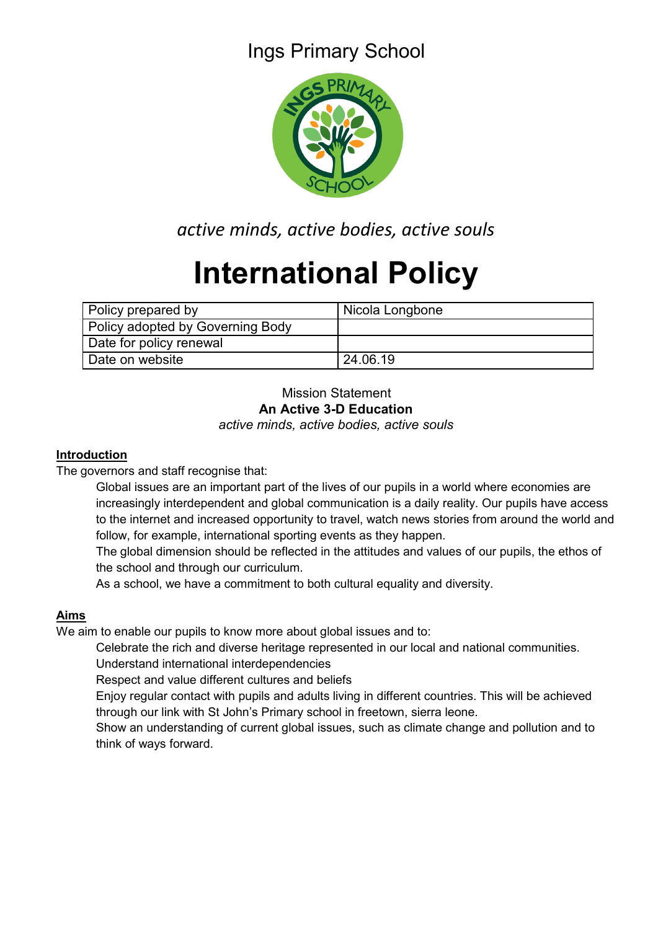## Ings Primary School



*active minds, active bodies, active souls*

# **International Policy**

| Policy prepared by               | Nicola Longbone |
|----------------------------------|-----------------|
| Policy adopted by Governing Body |                 |
| Date for policy renewal          |                 |
| Date on website                  | 24.06.19        |

#### Mission Statement **An Active 3-D Education** *active minds, active bodies, active souls*

#### **Introduction**

The governors and staff recognise that:

Global issues are an important part of the lives of our pupils in a world where economies are increasingly interdependent and global communication is a daily reality. Our pupils have access to the internet and increased opportunity to travel, watch news stories from around the world and follow, for example, international sporting events as they happen.

The global dimension should be reflected in the attitudes and values of our pupils, the ethos of the school and through our curriculum.

As a school, we have a commitment to both cultural equality and diversity.

### **Aims**

We aim to enable our pupils to know more about global issues and to:

Celebrate the rich and diverse heritage represented in our local and national communities. Understand international interdependencies

Respect and value different cultures and beliefs

Enjoy regular contact with pupils and adults living in different countries. This will be achieved through our link with St John's Primary school in freetown, sierra leone.

Show an understanding of current global issues, such as climate change and pollution and to think of ways forward.